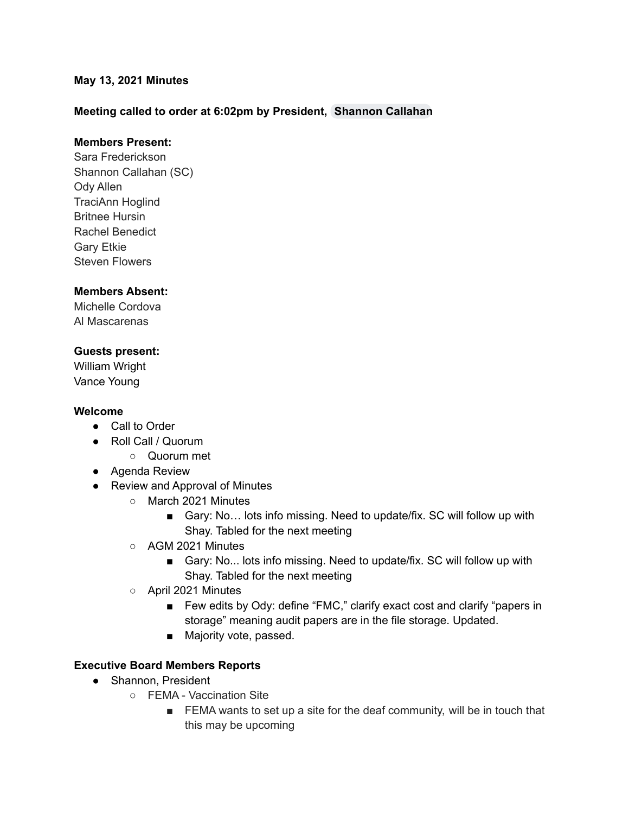### **May 13, 2021 Minutes**

### **Meeting called to order at 6:02pm by President, [Shannon](mailto:scallahan@cadeaf.org) Callahan**

### **Members Present:**

Sara Frederickson Shannon Callahan (SC) Ody Allen TraciAnn Hoglind Britnee Hursin Rachel Benedict Gary Etkie Steven Flowers

#### **Members Absent:**

Michelle Cordova Al Mascarenas

### **Guests present:**

William Wright Vance Young

### **Welcome**

- Call to Order
- Roll Call / Quorum
	- Quorum met
- Agenda Review
- Review and Approval of Minutes
	- March 2021 Minutes
		- Gary: No... lots info missing. Need to update/fix. SC will follow up with Shay. Tabled for the next meeting
	- AGM 2021 Minutes
		- Gary: No... lots info missing. Need to update/fix. SC will follow up with Shay. Tabled for the next meeting
	- April 2021 Minutes
		- Few edits by Ody: define "FMC," clarify exact cost and clarify "papers in storage" meaning audit papers are in the file storage. Updated.
		- Majority vote, passed.

### **Executive Board Members Reports**

- Shannon, President
	- FEMA Vaccination Site
		- FEMA wants to set up a site for the deaf community, will be in touch that this may be upcoming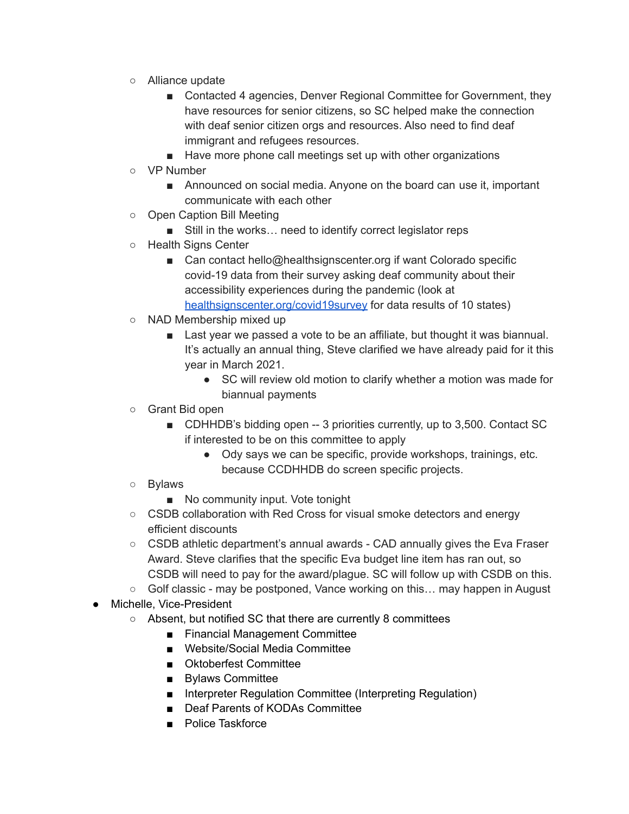- Alliance update
	- Contacted 4 agencies, Denver Regional Committee for Government, they have resources for senior citizens, so SC helped make the connection with deaf senior citizen orgs and resources. Also need to find deaf immigrant and refugees resources.
	- Have more phone call meetings set up with other organizations
- VP Number
	- Announced on social media. Anyone on the board can use it, important communicate with each other
- Open Caption Bill Meeting
	- Still in the works... need to identify correct legislator reps
- Health Signs Center
	- Can contact hello@healthsignscenter.org if want Colorado specific covid-19 data from their survey asking deaf community about their accessibility experiences during the pandemic (look at [healthsignscenter.org/covid19survey](http://healthsignscenter.org/covid19survey) for data results of 10 states)
- NAD Membership mixed up
	- Last year we passed a vote to be an affiliate, but thought it was biannual. It's actually an annual thing, Steve clarified we have already paid for it this year in March 2021.
		- SC will review old motion to clarify whether a motion was made for biannual payments
- Grant Bid open
	- CDHHDB's bidding open -- 3 priorities currently, up to 3,500. Contact SC if interested to be on this committee to apply
		- Ody says we can be specific, provide workshops, trainings, etc. because CCDHHDB do screen specific projects.
- Bylaws
	- No community input. Vote tonight
- CSDB collaboration with Red Cross for visual smoke detectors and energy efficient discounts
- $\circ$  CSDB athletic department's annual awards CAD annually gives the Eva Fraser Award. Steve clarifies that the specific Eva budget line item has ran out, so CSDB will need to pay for the award/plague. SC will follow up with CSDB on this.
- $\circ$  Golf classic may be postponed, Vance working on this... may happen in August
- Michelle, Vice-President
	- Absent, but notified SC that there are currently 8 committees
		- Financial Management Committee
		- Website/Social Media Committee
		- Oktoberfest Committee
		- Bylaws Committee
		- Interpreter Regulation Committee (Interpreting Regulation)
		- Deaf Parents of KODAs Committee
		- Police Taskforce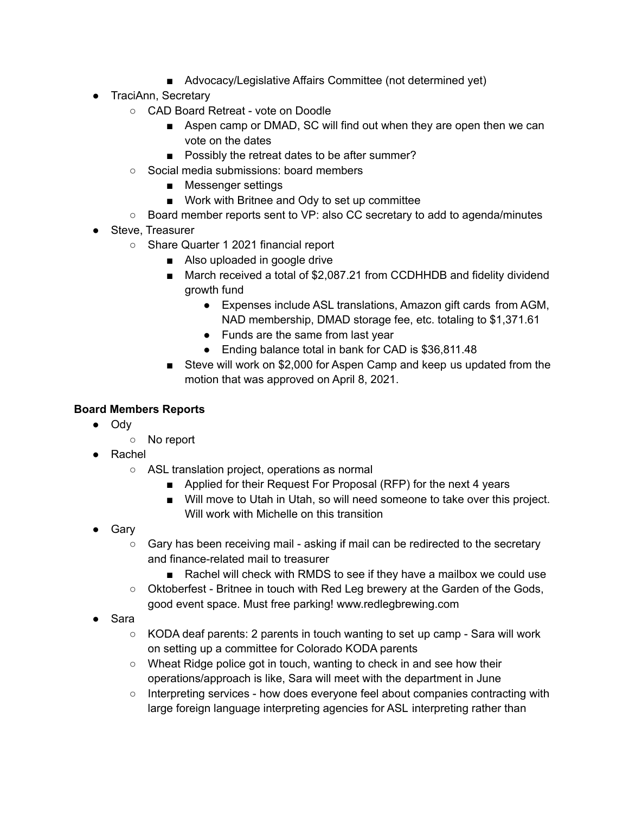- Advocacy/Legislative Affairs Committee (not determined yet)
- TraciAnn, Secretary
	- CAD Board Retreat vote on Doodle
		- Aspen camp or DMAD, SC will find out when they are open then we can vote on the dates
		- Possibly the retreat dates to be after summer?
	- Social media submissions: board members
		- Messenger settings
		- Work with Britnee and Ody to set up committee
	- Board member reports sent to VP: also CC secretary to add to agenda/minutes
- Steve, Treasurer
	- Share Quarter 1 2021 financial report
		- Also uploaded in google drive
		- March received a total of \$2,087.21 from CCDHHDB and fidelity dividend growth fund
			- Expenses include ASL translations, Amazon gift cards from AGM, NAD membership, DMAD storage fee, etc. totaling to \$1,371.61
			- Funds are the same from last year
			- Ending balance total in bank for CAD is \$36,811.48
		- Steve will work on \$2,000 for Aspen Camp and keep us updated from the motion that was approved on April 8, 2021.

# **Board Members Reports**

- Ody
	- No report
- Rachel
	- ASL translation project, operations as normal
		- Applied for their Request For Proposal (RFP) for the next 4 years
		- Will move to Utah in Utah, so will need someone to take over this project. Will work with Michelle on this transition
- Gary
	- Gary has been receiving mail asking if mail can be redirected to the secretary and finance-related mail to treasurer
		- Rachel will check with RMDS to see if they have a mailbox we could use
	- Oktoberfest Britnee in touch with Red Leg brewery at the Garden of the Gods, good event space. Must free parking! www.redlegbrewing.com
- Sara
	- $\circ$  KODA deaf parents: 2 parents in touch wanting to set up camp Sara will work on setting up a committee for Colorado KODA parents
	- Wheat Ridge police got in touch, wanting to check in and see how their operations/approach is like, Sara will meet with the department in June
	- Interpreting services how does everyone feel about companies contracting with large foreign language interpreting agencies for ASL interpreting rather than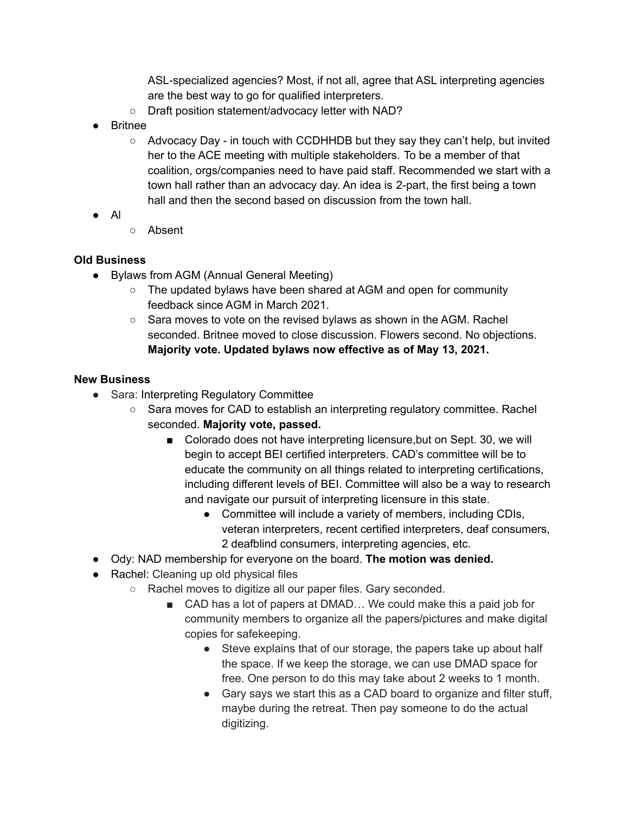ASL-specialized agencies? Most, if not all, agree that ASL interpreting agencies are the best way to go for qualified interpreters.

- Draft position statement/advocacy letter with NAD?
- Britnee
	- Advocacy Day in touch with CCDHHDB but they say they can't help, but invited her to the ACE meeting with multiple stakeholders. To be a member of that coalition, orgs/companies need to have paid staff. Recommended we start with a town hall rather than an advocacy day. An idea is 2-part, the first being a town hall and then the second based on discussion from the town hall.
- Al
- Absent

# **Old Business**

- Bylaws from AGM (Annual General Meeting)
	- The updated bylaws have been shared at AGM and open for community feedback since AGM in March 2021.
	- $\circ$  Sara moves to vote on the revised bylaws as shown in the AGM. Rachel seconded. Britnee moved to close discussion. Flowers second. No objections. **Majority vote. Updated bylaws now effective as of May 13, 2021.**

# **New Business**

- Sara: Interpreting Regulatory Committee
	- Sara moves for CAD to establish an interpreting regulatory committee. Rachel seconded. **Majority vote, passed.**
		- Colorado does not have interpreting licensure, but on Sept. 30, we will begin to accept BEI certified interpreters. CAD's committee will be to educate the community on all things related to interpreting certifications, including different levels of BEI. Committee will also be a way to research and navigate our pursuit of interpreting licensure in this state.
			- Committee will include a variety of members, including CDIs, veteran interpreters, recent certified interpreters, deaf consumers, 2 deafblind consumers, interpreting agencies, etc.
- Ody: NAD membership for everyone on the board. **The motion was denied.**
- Rachel: Cleaning up old physical files
	- Rachel moves to digitize all our paper files. Gary seconded.
		- CAD has a lot of papers at DMAD... We could make this a paid job for community members to organize all the papers/pictures and make digital copies for safekeeping.
			- Steve explains that of our storage, the papers take up about half the space. If we keep the storage, we can use DMAD space for free. One person to do this may take about 2 weeks to 1 month.
			- Gary says we start this as a CAD board to organize and filter stuff, maybe during the retreat. Then pay someone to do the actual digitizing.